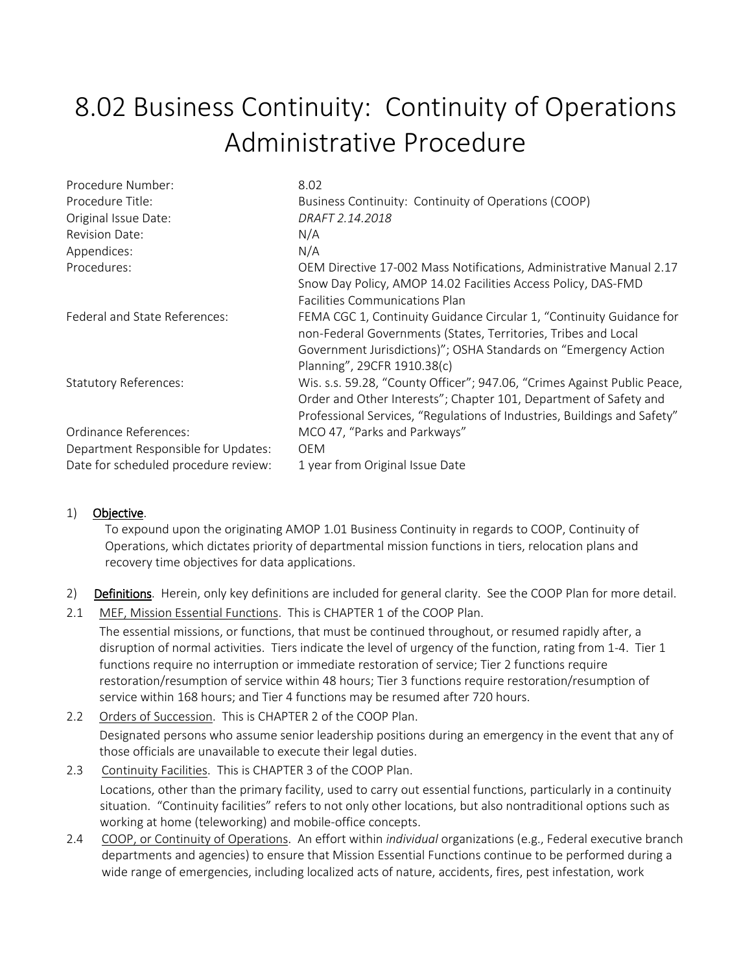## 8.02 Business Continuity: Continuity of Operations Administrative Procedure

| Procedure Number:                    | 8.02                                                                     |
|--------------------------------------|--------------------------------------------------------------------------|
| Procedure Title:                     | Business Continuity: Continuity of Operations (COOP)                     |
| Original Issue Date:                 | DRAFT 2.14.2018                                                          |
| <b>Revision Date:</b>                | N/A                                                                      |
| Appendices:                          | N/A                                                                      |
| Procedures:                          | OEM Directive 17-002 Mass Notifications, Administrative Manual 2.17      |
|                                      | Snow Day Policy, AMOP 14.02 Facilities Access Policy, DAS-FMD            |
|                                      | <b>Facilities Communications Plan</b>                                    |
| Federal and State References:        | FEMA CGC 1, Continuity Guidance Circular 1, "Continuity Guidance for     |
|                                      | non-Federal Governments (States, Territories, Tribes and Local           |
|                                      | Government Jurisdictions)"; OSHA Standards on "Emergency Action          |
|                                      | Planning", 29CFR 1910.38(c)                                              |
| <b>Statutory References:</b>         | Wis. s.s. 59.28, "County Officer"; 947.06, "Crimes Against Public Peace, |
|                                      | Order and Other Interests"; Chapter 101, Department of Safety and        |
|                                      | Professional Services, "Regulations of Industries, Buildings and Safety" |
| Ordinance References:                | MCO 47, "Parks and Parkways"                                             |
| Department Responsible for Updates:  | <b>OEM</b>                                                               |
| Date for scheduled procedure review: | 1 year from Original Issue Date                                          |

## 1) Objective.

To expound upon the originating AMOP 1.01 Business Continuity in regards to COOP, Continuity of Operations, which dictates priority of departmental mission functions in tiers, relocation plans and recovery time objectives for data applications.

- 2) Definitions. Herein, only key definitions are included for general clarity. See the COOP Plan for more detail.
- 2.1 MEF, Mission Essential Functions. This is CHAPTER 1 of the COOP Plan.

The essential missions, or functions, that must be continued throughout, or resumed rapidly after, a disruption of normal activities. Tiers indicate the level of urgency of the function, rating from 1-4. Tier 1 functions require no interruption or immediate restoration of service; Tier 2 functions require restoration/resumption of service within 48 hours; Tier 3 functions require restoration/resumption of service within 168 hours; and Tier 4 functions may be resumed after 720 hours.

- 2.2 Orders of Succession. This is CHAPTER 2 of the COOP Plan. Designated persons who assume senior leadership positions during an emergency in the event that any of those officials are unavailable to execute their legal duties.
- 2.3 Continuity Facilities. This is CHAPTER 3 of the COOP Plan. Locations, other than the primary facility, used to carry out essential functions, particularly in a continuity situation. "Continuity facilities" refers to not only other locations, but also nontraditional options such as working at home (teleworking) and mobile-office concepts.
- 2.4 COOP, or Continuity of Operations. An effort within *individual* organizations (e.g., Federal executive branch departments and agencies) to ensure that Mission Essential Functions continue to be performed during a wide range of emergencies, including localized acts of nature, accidents, fires, pest infestation, work